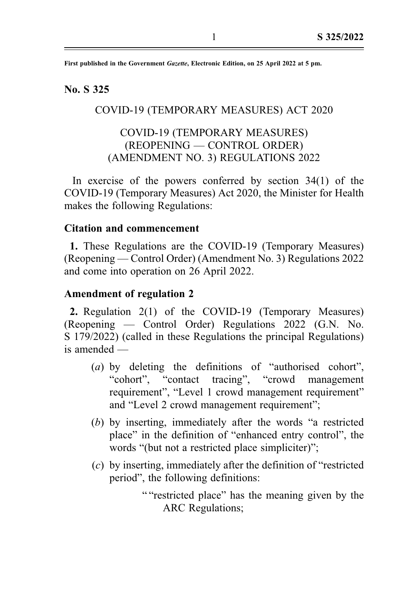First published in the Government Gazette, Electronic Edition, on 25 April 2022 at 5 pm.

# No. S 325

# COVID-19 (TEMPORARY MEASURES) ACT 2020

# COVID-19 (TEMPORARY MEASURES) (REOPENING — CONTROL ORDER) (AMENDMENT NO. 3) REGULATIONS 2022

In exercise of the powers conferred by section 34(1) of the COVID-19 (Temporary Measures) Act 2020, the Minister for Health makes the following Regulations:

### Citation and commencement

1. These Regulations are the COVID-19 (Temporary Measures) (Reopening — Control Order) (Amendment No. 3) Regulations 2022 and come into operation on 26 April 2022.

#### Amendment of regulation 2

2. Regulation 2(1) of the COVID-19 (Temporary Measures) (Reopening — Control Order) Regulations 2022 (G.N. No. S 179/2022) (called in these Regulations the principal Regulations) is amended —

- (a) by deleting the definitions of "authorised cohort", "cohort", "contact tracing", "crowd management requirement", "Level 1 crowd management requirement" and "Level 2 crowd management requirement";
- (b) by inserting, immediately after the words "a restricted place" in the definition of "enhanced entry control", the words "(but not a restricted place simpliciter)";
- (c) by inserting, immediately after the definition of "restricted period", the following definitions:

" "restricted place" has the meaning given by the ARC Regulations;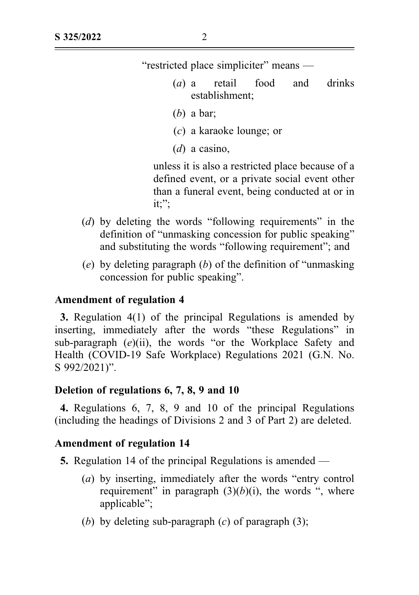"restricted place simpliciter" means —

- (a) a retail food and drinks establishment;
- (b) a bar:
- (c) a karaoke lounge; or
- $(d)$  a casino,

unless it is also a restricted place because of a defined event, or a private social event other than a funeral event, being conducted at or in it;";

- (d) by deleting the words "following requirements" in the definition of "unmasking concession for public speaking" and substituting the words "following requirement"; and
- (e) by deleting paragraph  $(b)$  of the definition of "unmasking" concession for public speaking".

#### Amendment of regulation 4

3. Regulation 4(1) of the principal Regulations is amended by inserting, immediately after the words "these Regulations" in sub-paragraph  $(e)(ii)$ , the words "or the Workplace Safety and Health (COVID-19 Safe Workplace) Regulations 2021 (G.N. No. S 992/2021)".

# Deletion of regulations 6, 7, 8, 9 and 10

4. Regulations 6, 7, 8, 9 and 10 of the principal Regulations (including the headings of Divisions 2 and 3 of Part 2) are deleted.

#### Amendment of regulation 14

5. Regulation 14 of the principal Regulations is amended —

- (a) by inserting, immediately after the words "entry control requirement" in paragraph  $(3)(b)(i)$ , the words ", where applicable";
- (b) by deleting sub-paragraph  $(c)$  of paragraph  $(3)$ ;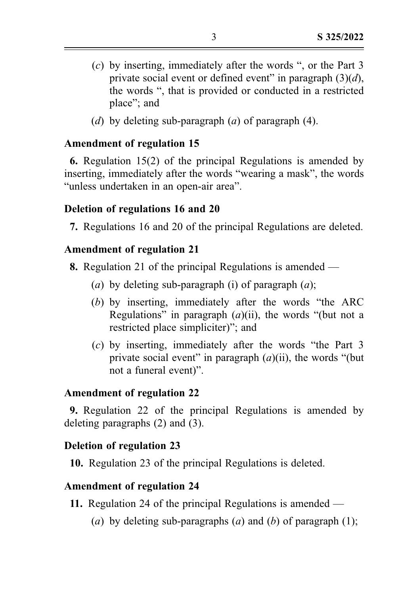- (c) by inserting, immediately after the words ", or the Part 3 private social event or defined event" in paragraph  $(3)(d)$ , the words ", that is provided or conducted in a restricted place"; and
- (d) by deleting sub-paragraph (a) of paragraph  $(4)$ .

## Amendment of regulation 15

6. Regulation 15(2) of the principal Regulations is amended by inserting, immediately after the words "wearing a mask", the words "unless undertaken in an open-air area".

## Deletion of regulations 16 and 20

7. Regulations 16 and 20 of the principal Regulations are deleted.

## Amendment of regulation 21

8. Regulation 21 of the principal Regulations is amended —

- (a) by deleting sub-paragraph (i) of paragraph  $(a)$ ;
- (b) by inserting, immediately after the words "the ARC Regulations" in paragraph  $(a)(ii)$ , the words "(but not a restricted place simpliciter)"; and
- (c) by inserting, immediately after the words "the Part 3 private social event" in paragraph  $(a)(ii)$ , the words "(but not a funeral event)".

# Amendment of regulation 22

9. Regulation 22 of the principal Regulations is amended by deleting paragraphs (2) and (3).

# Deletion of regulation 23

10. Regulation 23 of the principal Regulations is deleted.

### Amendment of regulation 24

- 11. Regulation 24 of the principal Regulations is amended
	- (a) by deleting sub-paragraphs (a) and (b) of paragraph (1);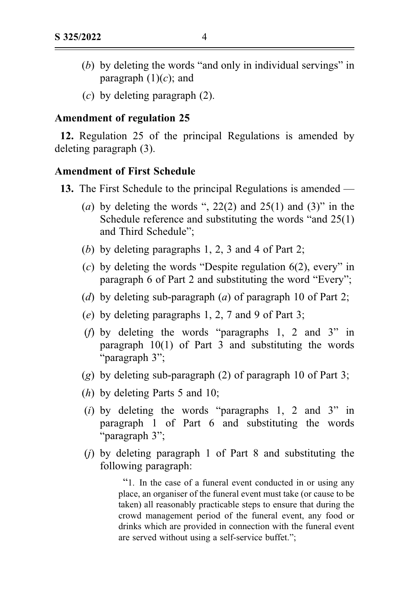- (b) by deleting the words "and only in individual servings" in paragraph  $(1)(c)$ ; and
- $(c)$  by deleting paragraph  $(2)$ .

#### Amendment of regulation 25

12. Regulation 25 of the principal Regulations is amended by deleting paragraph (3).

#### Amendment of First Schedule

- 13. The First Schedule to the principal Regulations is amended
	- (a) by deleting the words ",  $22(2)$  and  $25(1)$  and  $(3)$ " in the Schedule reference and substituting the words "and 25(1) and Third Schedule";
	- (b) by deleting paragraphs 1, 2, 3 and 4 of Part 2;
	- (c) by deleting the words "Despite regulation  $6(2)$ , every" in paragraph 6 of Part 2 and substituting the word "Every";
	- (d) by deleting sub-paragraph (a) of paragraph 10 of Part 2;
	- (e) by deleting paragraphs 1, 2, 7 and 9 of Part 3;
	- (f) by deleting the words "paragraphs 1, 2 and 3" in paragraph 10(1) of Part 3 and substituting the words "paragraph 3";
	- (g) by deleting sub-paragraph (2) of paragraph 10 of Part 3;
	- (*h*) by deleting Parts 5 and 10;
	- (i) by deleting the words "paragraphs 1, 2 and 3" in paragraph 1 of Part 6 and substituting the words "paragraph 3";
	- $(i)$  by deleting paragraph 1 of Part 8 and substituting the following paragraph:

"1. In the case of a funeral event conducted in or using any place, an organiser of the funeral event must take (or cause to be taken) all reasonably practicable steps to ensure that during the crowd management period of the funeral event, any food or drinks which are provided in connection with the funeral event are served without using a self-service buffet.";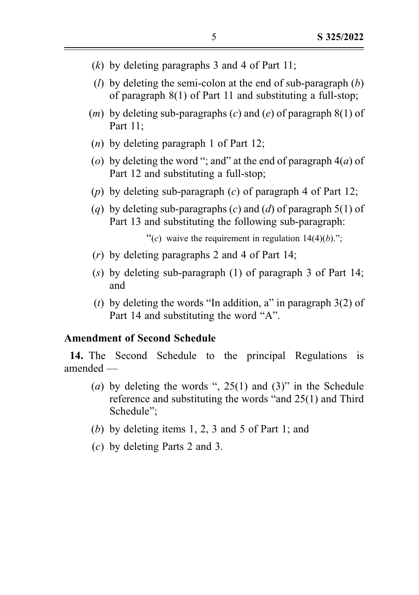- $(k)$  by deleting paragraphs 3 and 4 of Part 11;
- (*l*) by deleting the semi-colon at the end of sub-paragraph  $(b)$ of paragraph 8(1) of Part 11 and substituting a full-stop;
- (*m*) by deleting sub-paragraphs (*c*) and (*e*) of paragraph  $8(1)$  of Part 11;
- (n) by deleting paragraph 1 of Part 12;
- (o) by deleting the word "; and" at the end of paragraph  $4(a)$  of Part 12 and substituting a full-stop;
- (p) by deleting sub-paragraph (c) of paragraph 4 of Part 12;
- (a) by deleting sub-paragraphs (c) and (d) of paragraph 5(1) of Part 13 and substituting the following sub-paragraph:

"(c) waive the requirement in regulation  $14(4)(b)$ .";

- (r) by deleting paragraphs 2 and 4 of Part 14;
- (s) by deleting sub-paragraph (1) of paragraph 3 of Part 14; and
- (t) by deleting the words "In addition, a" in paragraph  $3(2)$  of Part 14 and substituting the word "A".

### Amendment of Second Schedule

14. The Second Schedule to the principal Regulations is amended —

- (a) by deleting the words ",  $25(1)$  and  $(3)$ " in the Schedule reference and substituting the words "and 25(1) and Third Schedule";
- (b) by deleting items 1, 2, 3 and 5 of Part 1; and
- (c) by deleting Parts 2 and 3.